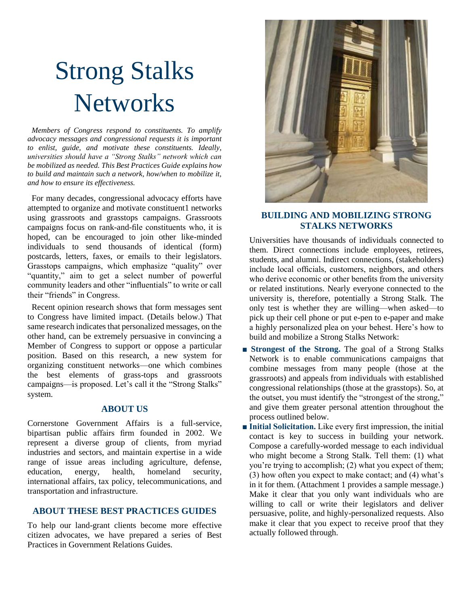# Strong Stalks **Networks**

*Members of Congress respond to constituents. To amplify advocacy messages and congressional requests it is important to enlist, guide, and motivate these constituents. Ideally, universities should have a "Strong Stalks" network which can be mobilized as needed. This Best Practices Guide explains how to build and maintain such a network, how/when to mobilize it, and how to ensure its effectiveness.* 

 For many decades, congressional advocacy efforts have attempted to organize and motivate constituent1 networks using grassroots and grasstops campaigns. Grassroots campaigns focus on rank-and-file constituents who, it is hoped, can be encouraged to join other like-minded individuals to send thousands of identical (form) postcards, letters, faxes, or emails to their legislators. Grasstops campaigns, which emphasize "quality" over "quantity," aim to get a select number of powerful community leaders and other "influentials" to write or call their "friends" in Congress.

 Recent opinion research shows that form messages sent to Congress have limited impact. (Details below.) That same research indicates that personalized messages, on the other hand, can be extremely persuasive in convincing a Member of Congress to support or oppose a particular position. Based on this research, a new system for organizing constituent networks—one which combines the best elements of grass-tops and grassroots campaigns—is proposed. Let's call it the "Strong Stalks" system.

#### **ABOUT US**

Cornerstone Government Affairs is a full-service, bipartisan public affairs firm founded in 2002. We represent a diverse group of clients, from myriad industries and sectors, and maintain expertise in a wide range of issue areas including agriculture, defense, education, energy, health, homeland security, international affairs, tax policy, telecommunications, and transportation and infrastructure.

#### **ABOUT THESE BEST PRACTICES GUIDES**

To help our land-grant clients become more effective citizen advocates, we have prepared a series of Best Practices in Government Relations Guides.



## **BUILDING AND MOBILIZING STRONG STALKS NETWORKS**

Universities have thousands of individuals connected to them. Direct connections include employees, retirees, students, and alumni. Indirect connections, (stakeholders) include local officials, customers, neighbors, and others who derive economic or other benefits from the university or related institutions. Nearly everyone connected to the university is, therefore, potentially a Strong Stalk. The only test is whether they are willing—when asked—to pick up their cell phone or put e-pen to e-paper and make a highly personalized plea on your behest. Here's how to build and mobilize a Strong Stalks Network:

- **■ Strongest of the Strong.** The goal of a Strong Stalks Network is to enable communications campaigns that combine messages from many people (those at the grassroots) and appeals from individuals with established congressional relationships (those at the grasstops). So, at the outset, you must identify the "strongest of the strong," and give them greater personal attention throughout the process outlined below.
- **Initial Solicitation.** Like every first impression, the initial contact is key to success in building your network. Compose a carefully-worded message to each individual who might become a Strong Stalk. Tell them: (1) what you're trying to accomplish; (2) what you expect of them; (3) how often you expect to make contact; and (4) what's in it for them. (Attachment 1 provides a sample message.) Make it clear that you only want individuals who are willing to call or write their legislators and deliver persuasive, polite, and highly-personalized requests. Also make it clear that you expect to receive proof that they actually followed through.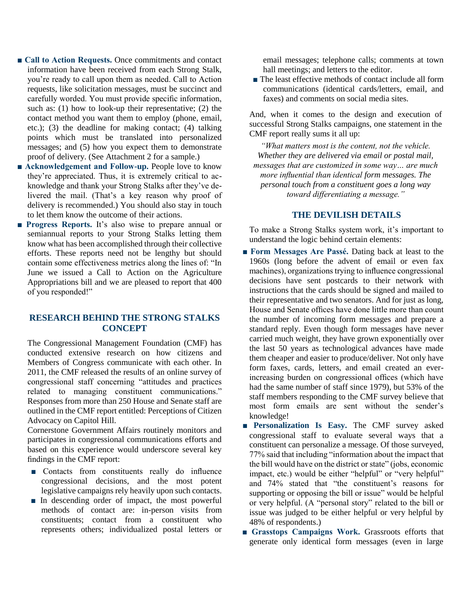- Call to Action Requests. Once commitments and contact information have been received from each Strong Stalk, you're ready to call upon them as needed. Call to Action requests, like solicitation messages, must be succinct and carefully worded. You must provide specific information, such as: (1) how to look-up their representative; (2) the contact method you want them to employ (phone, email, etc.); (3) the deadline for making contact; (4) talking points which must be translated into personalized messages; and (5) how you expect them to demonstrate proof of delivery. (See Attachment 2 for a sample.)
- Acknowledgement and Follow-up. People love to know they're appreciated. Thus, it is extremely critical to acknowledge and thank your Strong Stalks after they've delivered the mail. (That's a key reason why proof of delivery is recommended.) You should also stay in touch to let them know the outcome of their actions.
- **Progress Reports.** It's also wise to prepare annual or semiannual reports to your Strong Stalks letting them know what has been accomplished through their collective efforts. These reports need not be lengthy but should contain some effectiveness metrics along the lines of: "In June we issued a Call to Action on the Agriculture Appropriations bill and we are pleased to report that 400 of you responded!"

#### **RESEARCH BEHIND THE STRONG STALKS CONCEPT**

The Congressional Management Foundation (CMF) has conducted extensive research on how citizens and Members of Congress communicate with each other. In 2011, the CMF released the results of an online survey of congressional staff concerning "attitudes and practices related to managing constituent communications." Responses from more than 250 House and Senate staff are outlined in the CMF report entitled: Perceptions of Citizen Advocacy on Capitol Hill.

Cornerstone Government Affairs routinely monitors and participates in congressional communications efforts and based on this experience would underscore several key findings in the CMF report:

- Contacts from constituents really do influence congressional decisions, and the most potent legislative campaigns rely heavily upon such contacts.
- In descending order of impact, the most powerful methods of contact are: in-person visits from constituents; contact from a constituent who represents others; individualized postal letters or

email messages; telephone calls; comments at town hall meetings; and letters to the editor.

■ The least effective methods of contact include all form communications (identical cards/letters, email, and faxes) and comments on social media sites.

And, when it comes to the design and execution of successful Strong Stalks campaigns, one statement in the CMF report really sums it all up:

*"What matters most is the content, not the vehicle. Whether they are delivered via email or postal mail, messages that are customized in some way… are much more influential than identical form messages. The personal touch from a constituent goes a long way toward differentiating a message."*

#### **THE DEVILISH DETAILS**

To make a Strong Stalks system work, it's important to understand the logic behind certain elements:

- **Form Messages Are Passé.** Dating back at least to the 1960s (long before the advent of email or even fax machines), organizations trying to influence congressional decisions have sent postcards to their network with instructions that the cards should be signed and mailed to their representative and two senators. And for just as long, House and Senate offices have done little more than count the number of incoming form messages and prepare a standard reply. Even though form messages have never carried much weight, they have grown exponentially over the last 50 years as technological advances have made them cheaper and easier to produce/deliver. Not only have form faxes, cards, letters, and email created an everincreasing burden on congressional offices (which have had the same number of staff since 1979), but 53% of the staff members responding to the CMF survey believe that most form emails are sent without the sender's knowledge!
- **■ Personalization Is Easy.** The CMF survey asked congressional staff to evaluate several ways that a constituent can personalize a message. Of those surveyed, 77% said that including "information about the impact that the bill would have on the district or state" (jobs, economic impact, etc.) would be either "helpful" or "very helpful" and 74% stated that "the constituent's reasons for supporting or opposing the bill or issue" would be helpful or very helpful. (A "personal story" related to the bill or issue was judged to be either helpful or very helpful by 48% of respondents.)
- **Grasstops Campaigns Work.** Grassroots efforts that generate only identical form messages (even in large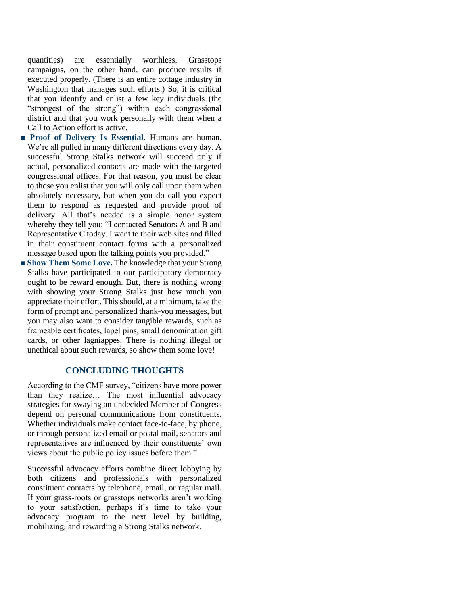quantities) are essentially worthless. Grasstops campaigns, on the other hand, can produce results if executed properly. (There is an entire cottage industry in Washington that manages such efforts.) So, it is critical that you identify and enlist a few key individuals (the "strongest of the strong") within each congressional district and that you work personally with them when a Call to Action effort is active.

- **Proof of Delivery Is Essential.** Humans are human. We're all pulled in many different directions every day. A successful Strong Stalks network will succeed only if actual, personalized contacts are made with the targeted congressional offices. For that reason, you must be clear to those you enlist that you will only call upon them when absolutely necessary, but when you do call you expect them to respond as requested and provide proof of delivery. All that's needed is a simple honor system whereby they tell you: "I contacted Senators A and B and Representative C today. I went to their web sites and filled in their constituent contact forms with a personalized message based upon the talking points you provided."
- Show Them Some Love. The knowledge that your Strong Stalks have participated in our participatory democracy ought to be reward enough. But, there is nothing wrong with showing your Strong Stalks just how much you appreciate their effort. This should, at a minimum, take the form of prompt and personalized thank-you messages, but you may also want to consider tangible rewards, such as frameable certificates, lapel pins, small denomination gift cards, or other lagniappes. There is nothing illegal or unethical about such rewards, so show them some love!

## **CONCLUDING THOUGHTS**

According to the CMF survey, "citizens have more power than they realize… The most influential advocacy strategies for swaying an undecided Member of Congress depend on personal communications from constituents. Whether individuals make contact face-to-face, by phone, or through personalized email or postal mail, senators and representatives are influenced by their constituents' own views about the public policy issues before them."

Successful advocacy efforts combine direct lobbying by both citizens and professionals with personalized constituent contacts by telephone, email, or regular mail. If your grass-roots or grasstops networks aren't working to your satisfaction, perhaps it's time to take your advocacy program to the next level by building, mobilizing, and rewarding a Strong Stalks network.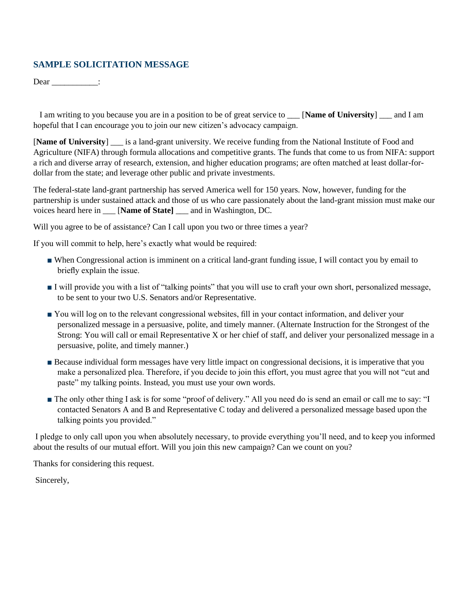## **SAMPLE SOLICITATION MESSAGE**

 $Dear$  \_\_\_\_\_\_\_\_\_\_\_\_\_:

 I am writing to you because you are in a position to be of great service to \_\_\_ [**Name of University**] \_\_\_ and I am hopeful that I can encourage you to join our new citizen's advocacy campaign.

[**Name of University**] \_\_\_ is a land-grant university. We receive funding from the National Institute of Food and Agriculture (NIFA) through formula allocations and competitive grants. The funds that come to us from NIFA: support a rich and diverse array of research, extension, and higher education programs; are often matched at least dollar-fordollar from the state; and leverage other public and private investments.

The federal-state land-grant partnership has served America well for 150 years. Now, however, funding for the partnership is under sustained attack and those of us who care passionately about the land-grant mission must make our voices heard here in \_\_\_ [**Name of State]** \_\_\_ and in Washington, DC.

Will you agree to be of assistance? Can I call upon you two or three times a year?

If you will commit to help, here's exactly what would be required:

- When Congressional action is imminent on a critical land-grant funding issue, I will contact you by email to briefly explain the issue.
- I will provide you with a list of "talking points" that you will use to craft your own short, personalized message, to be sent to your two U.S. Senators and/or Representative.
- You will log on to the relevant congressional websites, fill in your contact information, and deliver your personalized message in a persuasive, polite, and timely manner. (Alternate Instruction for the Strongest of the Strong: You will call or email Representative X or her chief of staff, and deliver your personalized message in a persuasive, polite, and timely manner.)
- Because individual form messages have very little impact on congressional decisions, it is imperative that you make a personalized plea. Therefore, if you decide to join this effort, you must agree that you will not "cut and paste" my talking points. Instead, you must use your own words.
- The only other thing I ask is for some "proof of delivery." All you need do is send an email or call me to say: "I contacted Senators A and B and Representative C today and delivered a personalized message based upon the talking points you provided."

I pledge to only call upon you when absolutely necessary, to provide everything you'll need, and to keep you informed about the results of our mutual effort. Will you join this new campaign? Can we count on you?

Thanks for considering this request.

Sincerely,